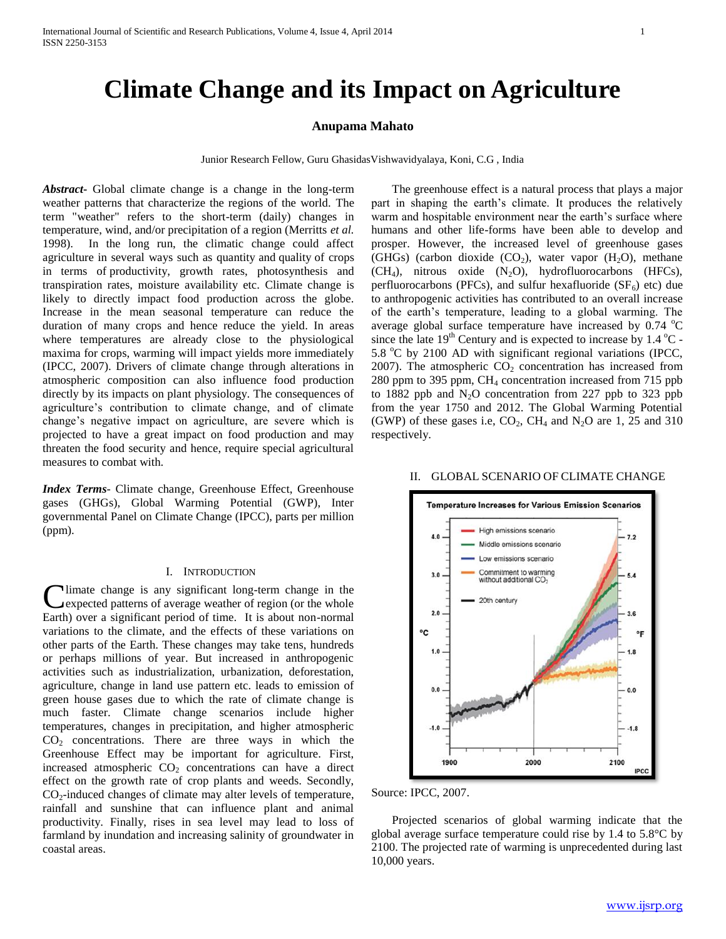# **Climate Change and its Impact on Agriculture**

## **Anupama Mahato**

Junior Research Fellow, Guru GhasidasVishwavidyalaya, Koni, C.G , India

*Abstract***-** Global climate change is a change in the long-term weather patterns that characterize the regions of the world. The term "weather" refers to the short-term (daily) changes in temperature, wind, and/or precipitation of a region (Merritts *et al.* 1998). In the long run, the climatic change could affect agriculture in several ways such as quantity and quality of crops in terms of productivity, growth rates, photosynthesis and transpiration rates, moisture availability etc. Climate change is likely to directly impact food production across the globe. Increase in the mean seasonal temperature can reduce the duration of many crops and hence reduce the yield. In areas where temperatures are already close to the physiological maxima for crops, warming will impact yields more immediately (IPCC, 2007). Drivers of climate change through alterations in atmospheric composition can also influence food production directly by its impacts on plant physiology. The consequences of agriculture's contribution to climate change, and of climate change's negative impact on agriculture, are severe which is projected to have a great impact on food production and may threaten the food security and hence, require special agricultural measures to combat with.

*Index Terms*- Climate change, Greenhouse Effect, Greenhouse gases (GHGs), Global Warming Potential (GWP), Inter governmental Panel on Climate Change (IPCC), parts per million (ppm).

## I. INTRODUCTION

Climate change is any significant long-term change in the expected patterns of average weather of region (or the whole expected patterns of average weather of region (or the whole Earth) over a significant period of time. It is about non-normal variations to the climate, and the effects of these variations on other parts of the Earth. These changes may take tens, hundreds or perhaps millions of year. But increased in anthropogenic activities such as industrialization, urbanization, deforestation, agriculture, change in land use pattern etc. leads to emission of green house gases due to which the rate of climate change is much faster. Climate change scenarios include higher temperatures, changes in precipitation, and higher atmospheric CO<sup>2</sup> concentrations. There are three ways in which the Greenhouse Effect may be important for agriculture. First, increased atmospheric  $CO<sub>2</sub>$  concentrations can have a direct effect on the growth rate of crop plants and weeds. Secondly,  $CO<sub>2</sub>$ -induced changes of climate may alter levels of temperature, rainfall and sunshine that can influence plant and animal productivity. Finally, rises in sea level may lead to loss of farmland by inundation and increasing salinity of groundwater in coastal areas.

 The greenhouse effect is a natural process that plays a major part in shaping the earth's climate. It produces the relatively warm and hospitable environment near the earth's surface where humans and other life-forms have been able to develop and prosper. However, the increased level of greenhouse gases (GHGs) (carbon dioxide  $(CO_2)$ , water vapor  $(H_2O)$ , methane  $(CH<sub>4</sub>)$ , nitrous oxide  $(N<sub>2</sub>O)$ , hydrofluorocarbons (HFCs), perfluorocarbons (PFCs), and sulfur hexafluoride ( $SF<sub>6</sub>$ ) etc) due to anthropogenic activities has contributed to an overall increase of the earth's temperature, leading to a global warming. The average global surface temperature have increased by  $0.74 \text{ °C}$ since the late  $19<sup>th</sup>$  Century and is expected to increase by 1.4  $^{\circ}$ C -5.8 °C by 2100 AD with significant regional variations (IPCC, 2007). The atmospheric  $CO<sub>2</sub>$  concentration has increased from 280 ppm to 395 ppm, CH<sup>4</sup> concentration increased from 715 ppb to 1882 ppb and  $N_2O$  concentration from 227 ppb to 323 ppb from the year 1750 and 2012. The Global Warming Potential (GWP) of these gases i.e,  $CO_2$ ,  $CH_4$  and  $N_2O$  are 1, 25 and 310 respectively.

#### II. GLOBAL SCENARIO OF CLIMATE CHANGE



Source: IPCC, 2007.

 Projected scenarios of global warming indicate that the global average surface temperature could rise by 1.4 to 5.8°C by 2100. The projected rate of warming is unprecedented during last 10,000 years.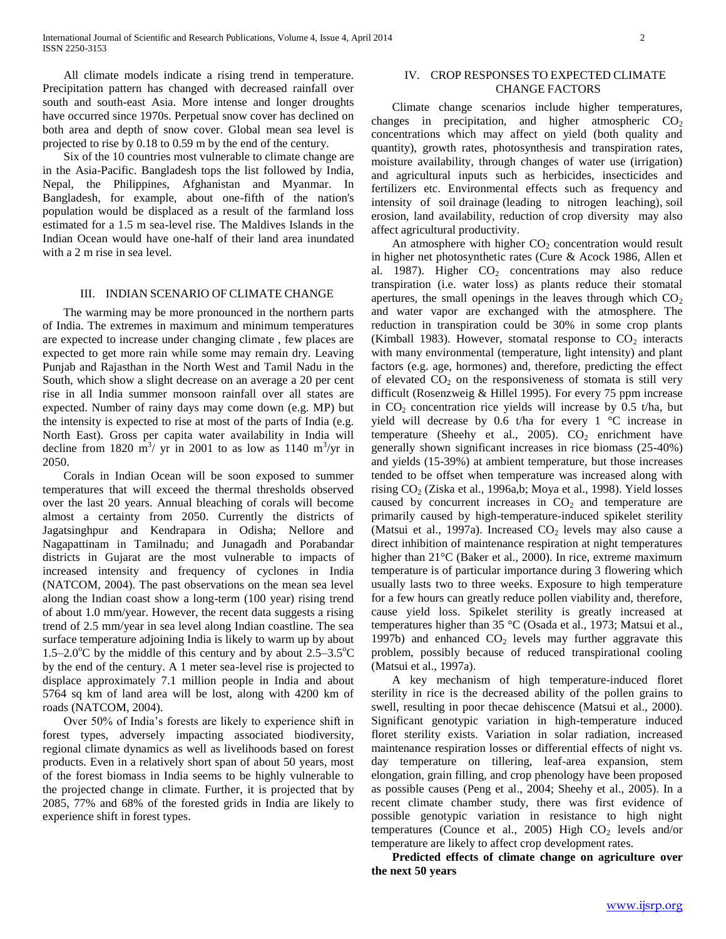All climate models indicate a rising trend in temperature. Precipitation pattern has changed with decreased rainfall over south and south-east Asia. More intense and longer droughts have occurred since 1970s. Perpetual snow cover has declined on both area and depth of snow cover. Global mean sea level is projected to rise by 0.18 to 0.59 m by the end of the century.

 Six of the 10 countries most vulnerable to climate change are in the Asia-Pacific. Bangladesh tops the list followed by India, Nepal, the Philippines, Afghanistan and Myanmar. In Bangladesh, for example, about one-fifth of the nation's population would be displaced as a result of the farmland loss estimated for a 1.5 m sea-level rise. The Maldives Islands in the Indian Ocean would have one-half of their land area inundated with a 2 m rise in sea level.

### III. INDIAN SCENARIO OF CLIMATE CHANGE

 The warming may be more pronounced in the northern parts of India. The extremes in maximum and minimum temperatures are expected to increase under changing climate , few places are expected to get more rain while some may remain dry. Leaving Punjab and Rajasthan in the North West and Tamil Nadu in the South, which show a slight decrease on an average a 20 per cent rise in all India summer monsoon rainfall over all states are expected. Number of rainy days may come down (e.g. MP) but the intensity is expected to rise at most of the parts of India (e.g. North East). Gross per capita water availability in India will decline from 1820  $\text{m}^3$ / yr in 2001 to as low as 1140  $\text{m}^3$ /yr in 2050.

 Corals in Indian Ocean will be soon exposed to summer temperatures that will exceed the thermal thresholds observed over the last 20 years. Annual bleaching of corals will become almost a certainty from 2050. Currently the districts of Jagatsinghpur and Kendrapara in Odisha; Nellore and Nagapattinam in Tamilnadu; and Junagadh and Porabandar districts in Gujarat are the most vulnerable to impacts of increased intensity and frequency of cyclones in India (NATCOM, 2004). The past observations on the mean sea level along the Indian coast show a long-term (100 year) rising trend of about 1.0 mm/year. However, the recent data suggests a rising trend of 2.5 mm/year in sea level along Indian coastline. The sea surface temperature adjoining India is likely to warm up by about 1.5–2.0 $^{\circ}$ C by the middle of this century and by about 2.5–3.5 $^{\circ}$ C by the end of the century. A 1 meter sea-level rise is projected to displace approximately 7.1 million people in India and about 5764 sq km of land area will be lost, along with 4200 km of roads (NATCOM, 2004).

 Over 50% of India's forests are likely to experience shift in forest types, adversely impacting associated biodiversity, regional climate dynamics as well as livelihoods based on forest products. Even in a relatively short span of about 50 years, most of the forest biomass in India seems to be highly vulnerable to the projected change in climate. Further, it is projected that by 2085, 77% and 68% of the forested grids in India are likely to experience shift in forest types.

## IV. CROP RESPONSES TO EXPECTED CLIMATE CHANGE FACTORS

 Climate change scenarios include higher temperatures, changes in precipitation, and higher atmospheric  $CO<sub>2</sub>$ concentrations which may affect on yield (both quality and quantity), growth rates, photosynthesis and transpiration rates, moisture availability, through changes of water use (irrigation) and agricultural inputs such as herbicides, insecticides and fertilizers etc. Environmental effects such as frequency and intensity of soil drainage (leading to nitrogen leaching), soil erosion, land availability, reduction of crop diversity may also affect agricultural productivity.

An atmosphere with higher  $CO<sub>2</sub>$  concentration would result in higher net photosynthetic rates (Cure & Acock 1986, Allen et al. 1987). Higher  $CO<sub>2</sub>$  concentrations may also reduce transpiration (i.e. water loss) as plants reduce their stomatal apertures, the small openings in the leaves through which  $CO<sub>2</sub>$ and water vapor are exchanged with the atmosphere. The reduction in transpiration could be 30% in some crop plants (Kimball 1983). However, stomatal response to  $CO<sub>2</sub>$  interacts with many environmental (temperature, light intensity) and plant factors (e.g. age, hormones) and, therefore, predicting the effect of elevated  $CO<sub>2</sub>$  on the responsiveness of stomata is still very difficult (Rosenzweig & Hillel 1995). For every 75 ppm increase in  $CO<sub>2</sub>$  concentration rice yields will increase by 0.5 t/ha, but yield will decrease by 0.6 t/ha for every  $1 \text{ }^{\circ}$ C increase in temperature (Sheehy et al., 2005).  $CO<sub>2</sub>$  enrichment have generally shown significant increases in rice biomass (25-40%) and yields (15-39%) at ambient temperature, but those increases tended to be offset when temperature was increased along with rising CO<sub>2</sub> (Ziska et al., 1996a,b; Moya et al., 1998). Yield losses caused by concurrent increases in  $CO<sub>2</sub>$  and temperature are primarily caused by high-temperature-induced spikelet sterility (Matsui et al., 1997a). Increased  $CO<sub>2</sub>$  levels may also cause a direct inhibition of maintenance respiration at night temperatures higher than 21<sup>°</sup>C (Baker et al., 2000). In rice, extreme maximum temperature is of particular importance during 3 flowering which usually lasts two to three weeks. Exposure to high temperature for a few hours can greatly reduce pollen viability and, therefore, cause yield loss. Spikelet sterility is greatly increased at temperatures higher than 35 °C (Osada et al., 1973; Matsui et al., 1997b) and enhanced  $CO<sub>2</sub>$  levels may further aggravate this problem, possibly because of reduced transpirational cooling (Matsui et al., 1997a).

 A key mechanism of high temperature-induced floret sterility in rice is the decreased ability of the pollen grains to swell, resulting in poor thecae dehiscence (Matsui et al., 2000). Significant genotypic variation in high-temperature induced floret sterility exists. Variation in solar radiation, increased maintenance respiration losses or differential effects of night vs. day temperature on tillering, leaf-area expansion, stem elongation, grain filling, and crop phenology have been proposed as possible causes (Peng et al., 2004; Sheehy et al., 2005). In a recent climate chamber study, there was first evidence of possible genotypic variation in resistance to high night temperatures (Counce et al., 2005) High  $CO<sub>2</sub>$  levels and/or temperature are likely to affect crop development rates.

 **Predicted effects of climate change on agriculture over the next 50 years**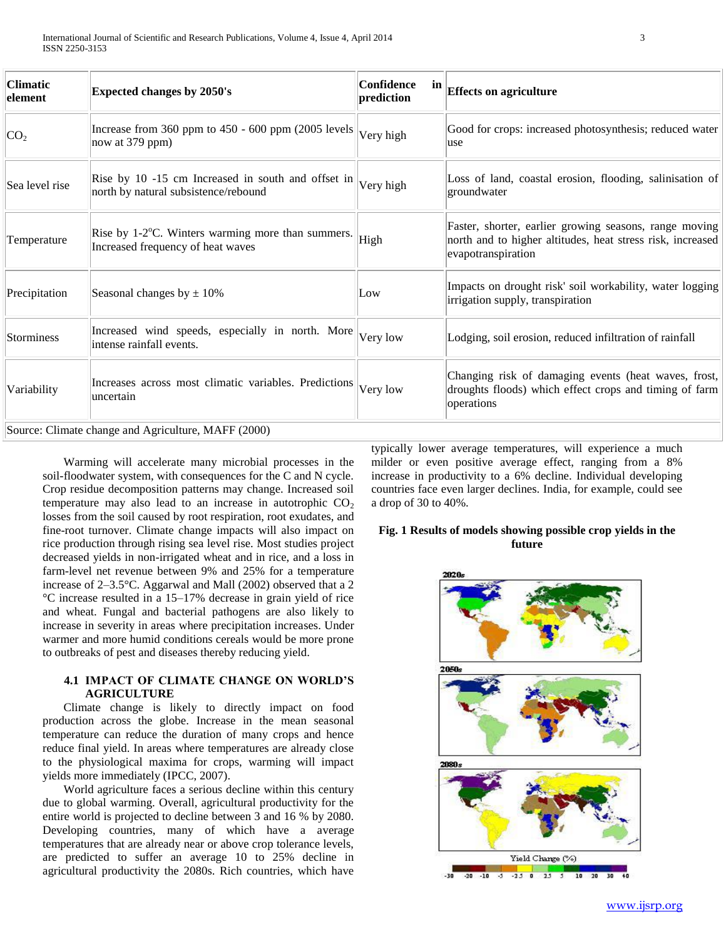| <b>Climatic</b><br>element                          | <b>Expected changes by 2050's</b>                                                                        | Confidence<br>in<br>prediction | <b>Effects on agriculture</b>                                                                                                              |
|-----------------------------------------------------|----------------------------------------------------------------------------------------------------------|--------------------------------|--------------------------------------------------------------------------------------------------------------------------------------------|
| CO <sub>2</sub>                                     | Increase from $360$ ppm to $450 - 600$ ppm $(2005$ levels<br>now at $379$ ppm)                           | Very high                      | Good for crops: increased photosynthesis; reduced water<br>luse                                                                            |
| Sea level rise                                      | Rise by 10 -15 cm Increased in south and offset in $ V$ ery high<br>north by natural subsistence/rebound |                                | Loss of land, coastal erosion, flooding, salinisation of<br>groundwater                                                                    |
| Temperature                                         | Rise by $1\text{-}2^{\circ}$ C. Winters warming more than summers.<br>Increased frequency of heat waves  | High                           | Faster, shorter, earlier growing seasons, range moving<br>north and to higher altitudes, heat stress risk, increased<br>evapotranspiration |
| Precipitation                                       | Seasonal changes by $\pm 10\%$                                                                           | Low                            | Impacts on drought risk' soil workability, water logging<br>irrigation supply, transpiration                                               |
| Storminess                                          | Increased wind speeds, especially in north. More<br>intense rainfall events.                             | Very low                       | Lodging, soil erosion, reduced infiltration of rainfall                                                                                    |
| Variability                                         | Increases across most climatic variables. Predictions<br>uncertain                                       | Very low                       | Changing risk of damaging events (heat waves, frost,<br>droughts floods) which effect crops and timing of farm<br>operations               |
| Source: Climate change and Agriculture, MAFF (2000) |                                                                                                          |                                |                                                                                                                                            |

 Warming will accelerate many microbial processes in the soil-floodwater system, with consequences for the C and N cycle. Crop residue decomposition patterns may change. Increased soil temperature may also lead to an increase in autotrophic  $CO<sub>2</sub>$ losses from the soil caused by root respiration, root exudates, and fine-root turnover. Climate change impacts will also impact on rice production through rising sea level rise. Most studies project decreased yields in non-irrigated wheat and in rice, and a loss in farm-level net revenue between 9% and 25% for a temperature increase of 2–3.5°C. Aggarwal and Mall (2002) observed that a 2 °C increase resulted in a 15–17% decrease in grain yield of rice and wheat. Fungal and bacterial pathogens are also likely to increase in severity in areas where precipitation increases. Under warmer and more humid conditions cereals would be more prone to outbreaks of pest and diseases thereby reducing yield.

## **4.1 IMPACT OF CLIMATE CHANGE ON WORLD'S AGRICULTURE**

 Climate change is likely to directly impact on food production across the globe. Increase in the mean seasonal temperature can reduce the duration of many crops and hence reduce final yield. In areas where temperatures are already close to the physiological maxima for crops, warming will impact yields more immediately (IPCC, 2007).

 World agriculture faces a serious decline within this century due to global warming. Overall, agricultural productivity for the entire world is projected to decline between 3 and 16 % by 2080. Developing countries, many of which have a average temperatures that are already near or above crop tolerance levels, are predicted to suffer an average 10 to 25% decline in agricultural productivity the 2080s. Rich countries, which have typically lower average temperatures, will experience a much milder or even positive average effect, ranging from a 8% increase in productivity to a 6% decline. Individual developing countries face even larger declines. India, for example, could see a drop of 30 to 40%.

## **Fig. 1 Results of models showing possible crop yields in the future**

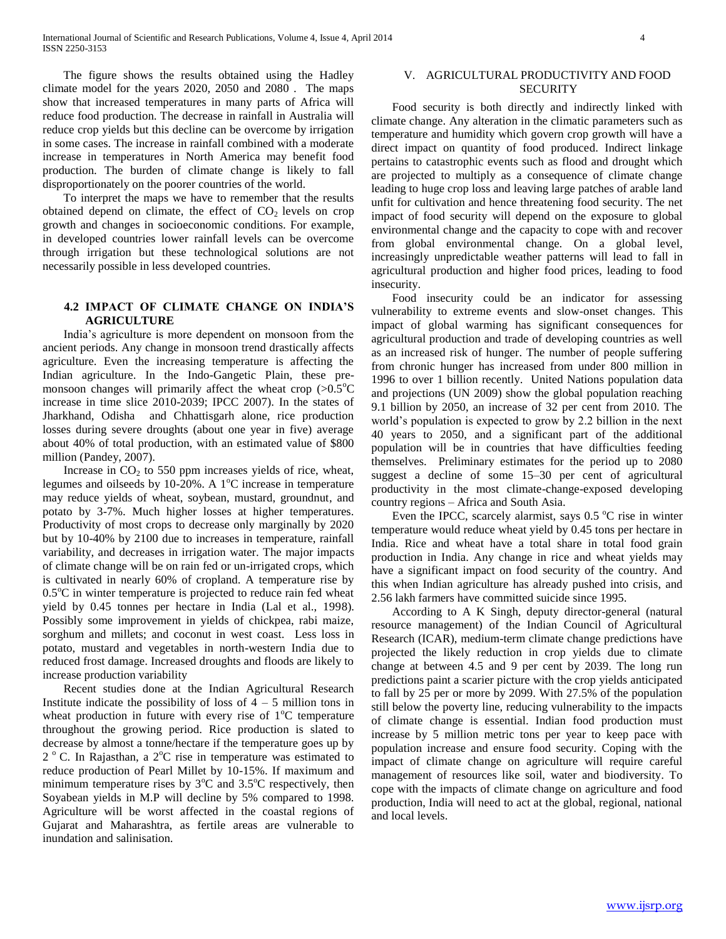The figure shows the results obtained using the Hadley climate model for the years 2020, 2050 and 2080 . The maps show that increased temperatures in many parts of Africa will reduce food production. The decrease in rainfall in Australia will reduce crop yields but this decline can be overcome by irrigation in some cases. The increase in rainfall combined with a moderate increase in temperatures in North America may benefit food production. The burden of climate change is likely to fall disproportionately on the poorer countries of the world.

 To interpret the maps we have to remember that the results obtained depend on climate, the effect of  $CO<sub>2</sub>$  levels on crop growth and changes in socioeconomic conditions. For example, in developed countries lower rainfall levels can be overcome through irrigation but these technological solutions are not necessarily possible in less developed countries.

## **4.2 IMPACT OF CLIMATE CHANGE ON INDIA'S AGRICULTURE**

 India's agriculture is more dependent on monsoon from the ancient periods. Any change in monsoon trend drastically affects agriculture. Even the increasing temperature is affecting the Indian agriculture. In the Indo-Gangetic Plain, these premonsoon changes will primarily affect the wheat crop  $(>0.5^{\circ}C)$ increase in time slice 2010-2039; IPCC 2007). In the states of Jharkhand, Odisha and Chhattisgarh alone, rice production losses during severe droughts (about one year in five) average about 40% of total production, with an estimated value of \$800 million (Pandey, 2007).

Increase in  $CO<sub>2</sub>$  to 550 ppm increases yields of rice, wheat, legumes and oilseeds by  $10{\text -}20\%$ . A  $1^{\circ}$ C increase in temperature may reduce yields of wheat, soybean, mustard, groundnut, and potato by 3-7%. Much higher losses at higher temperatures. Productivity of most crops to decrease only marginally by 2020 but by 10-40% by 2100 due to increases in temperature, rainfall variability, and decreases in irrigation water. The major impacts of climate change will be on rain fed or un-irrigated crops, which is cultivated in nearly 60% of cropland. A temperature rise by  $0.5^{\circ}$ C in winter temperature is projected to reduce rain fed wheat yield by 0.45 tonnes per hectare in India (Lal et al., 1998). Possibly some improvement in yields of chickpea, rabi maize, sorghum and millets; and coconut in west coast. Less loss in potato, mustard and vegetables in north-western India due to reduced frost damage. Increased droughts and floods are likely to increase production variability

 Recent studies done at the Indian Agricultural Research Institute indicate the possibility of loss of  $4 - 5$  million tons in wheat production in future with every rise of  $1^{\circ}$ C temperature throughout the growing period. Rice production is slated to decrease by almost a tonne/hectare if the temperature goes up by 2<sup>°</sup> C. In Rajasthan, a 2<sup>°</sup>C rise in temperature was estimated to reduce production of Pearl Millet by 10-15%. If maximum and minimum temperature rises by  $3^{\circ}$ C and  $3.5^{\circ}$ C respectively, then Soyabean yields in M.P will decline by 5% compared to 1998. Agriculture will be worst affected in the coastal regions of Gujarat and Maharashtra, as fertile areas are vulnerable to inundation and salinisation.

## V. AGRICULTURAL PRODUCTIVITY AND FOOD **SECURITY**

 Food security is both directly and indirectly linked with climate change. Any alteration in the climatic parameters such as temperature and humidity which govern crop growth will have a direct impact on quantity of food produced. Indirect linkage pertains to catastrophic events such as flood and drought which are projected to multiply as a consequence of climate change leading to huge crop loss and leaving large patches of arable land unfit for cultivation and hence threatening food security. The net impact of food security will depend on the exposure to global environmental change and the capacity to cope with and recover from global environmental change. On a global level, increasingly unpredictable weather patterns will lead to fall in agricultural production and higher food prices, leading to food insecurity.

 Food insecurity could be an indicator for assessing vulnerability to extreme events and slow-onset changes. This impact of global warming has significant consequences for agricultural production and trade of developing countries as well as an increased risk of hunger. The number of people suffering from chronic hunger has increased from under 800 million in 1996 to over 1 billion recently. United Nations population data and projections (UN 2009) show the global population reaching 9.1 billion by 2050, an increase of 32 per cent from 2010. The world's population is expected to grow by 2.2 billion in the next 40 years to 2050, and a significant part of the additional population will be in countries that have difficulties feeding themselves. Preliminary estimates for the period up to 2080 suggest a decline of some 15–30 per cent of agricultural productivity in the most climate-change-exposed developing country regions – Africa and South Asia.

Even the IPCC, scarcely alarmist, says  $0.5\degree$ C rise in winter temperature would reduce wheat yield by 0.45 tons per hectare in India. Rice and wheat have a total share in total food grain production in India. Any change in rice and wheat yields may have a significant impact on food security of the country. And this when Indian agriculture has already pushed into crisis, and 2.56 lakh farmers have committed suicide since 1995.

 According to A K Singh, deputy director-general (natural resource management) of the Indian Council of Agricultural Research (ICAR), medium-term climate change predictions have projected the likely reduction in crop yields due to climate change at between 4.5 and 9 per cent by 2039. The long run predictions paint a scarier picture with the crop yields anticipated to fall by 25 per or more by 2099. With 27.5% of the population still below the poverty line, reducing vulnerability to the impacts of climate change is essential. Indian food production must increase by 5 million metric tons per year to keep pace with population increase and ensure food security. Coping with the impact of climate change on agriculture will require careful management of resources like soil, water and biodiversity. To cope with the impacts of climate change on agriculture and food production, India will need to act at the global, regional, national and local levels.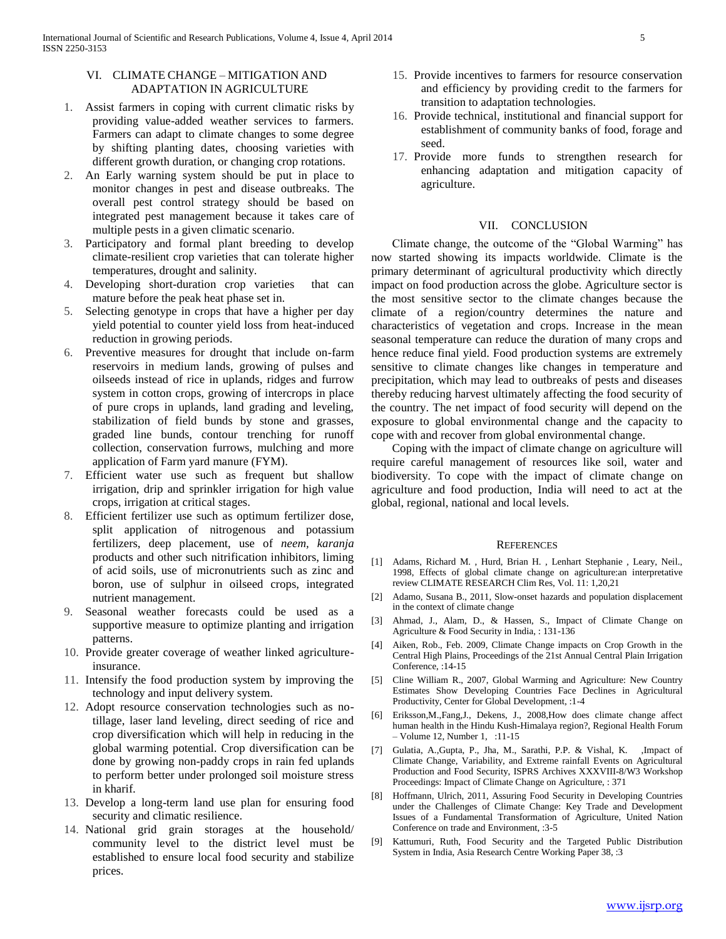## VI. CLIMATE CHANGE – MITIGATION AND ADAPTATION IN AGRICULTURE

- 1. Assist farmers in coping with current climatic risks by providing value-added weather services to farmers. Farmers can adapt to climate changes to some degree by shifting planting dates, choosing varieties with different growth duration, or changing crop rotations.
- 2. An Early warning system should be put in place to monitor changes in pest and disease outbreaks. The overall pest control strategy should be based on integrated pest management because it takes care of multiple pests in a given climatic scenario.
- 3. Participatory and formal plant breeding to develop climate-resilient crop varieties that can tolerate higher temperatures, drought and salinity.
- 4. Developing short-duration crop varieties that can mature before the peak heat phase set in.
- 5. Selecting genotype in crops that have a higher per day yield potential to counter yield loss from heat-induced reduction in growing periods.
- 6. Preventive measures for drought that include on-farm reservoirs in medium lands, growing of pulses and oilseeds instead of rice in uplands, ridges and furrow system in cotton crops, growing of intercrops in place of pure crops in uplands, land grading and leveling, stabilization of field bunds by stone and grasses, graded line bunds, contour trenching for runoff collection, conservation furrows, mulching and more application of Farm yard manure (FYM).
- 7. Efficient water use such as frequent but shallow irrigation, drip and sprinkler irrigation for high value crops, irrigation at critical stages.
- 8. Efficient fertilizer use such as optimum fertilizer dose, split application of nitrogenous and potassium fertilizers, deep placement, use of *neem, karanja*  products and other such nitrification inhibitors, liming of acid soils, use of micronutrients such as zinc and boron, use of sulphur in oilseed crops, integrated nutrient management.
- 9. Seasonal weather forecasts could be used as a supportive measure to optimize planting and irrigation patterns.
- 10. Provide greater coverage of weather linked agricultureinsurance.
- 11. Intensify the food production system by improving the technology and input delivery system.
- 12. Adopt resource conservation technologies such as notillage, laser land leveling, direct seeding of rice and crop diversification which will help in reducing in the global warming potential. Crop diversification can be done by growing non-paddy crops in rain fed uplands to perform better under prolonged soil moisture stress in kharif.
- 13. Develop a long-term land use plan for ensuring food security and climatic resilience.
- 14. National grid grain storages at the household/ community level to the district level must be established to ensure local food security and stabilize prices.
- 15. Provide incentives to farmers for resource conservation and efficiency by providing credit to the farmers for transition to adaptation technologies.
- 16. Provide technical, institutional and financial support for establishment of community banks of food, forage and seed.
- 17. Provide more funds to strengthen research for enhancing adaptation and mitigation capacity of agriculture.

## VII. CONCLUSION

 Climate change, the outcome of the "Global Warming" has now started showing its impacts worldwide. Climate is the primary determinant of agricultural productivity which directly impact on food production across the globe. Agriculture sector is the most sensitive sector to the climate changes because the climate of a region/country determines the nature and characteristics of vegetation and crops. Increase in the mean seasonal temperature can reduce the duration of many crops and hence reduce final yield. Food production systems are extremely sensitive to climate changes like changes in temperature and precipitation, which may lead to outbreaks of pests and diseases thereby reducing harvest ultimately affecting the food security of the country. The net impact of food security will depend on the exposure to global environmental change and the capacity to cope with and recover from global environmental change.

 Coping with the impact of climate change on agriculture will require careful management of resources like soil, water and biodiversity. To cope with the impact of climate change on agriculture and food production, India will need to act at the global, regional, national and local levels.

#### **REFERENCES**

- [1] Adams, Richard M. , Hurd, Brian H. , Lenhart Stephanie , Leary, Neil., 1998, Effects of global climate change on agriculture:an interpretative review CLIMATE RESEARCH Clim Res, Vol. 11: 1,20,21
- [2] Adamo, Susana B., 2011, Slow-onset hazards and population displacement in the context of climate change
- [3] Ahmad, J., Alam, D., & Hassen, S., Impact of Climate Change on Agriculture & Food Security in India, : 131-136
- [4] Aiken, Rob., Feb. 2009, Climate Change impacts on Crop Growth in the Central High Plains, Proceedings of the 21st Annual Central Plain Irrigation Conference, :14-15
- [5] Cline William R., 2007, Global Warming and Agriculture: New Country Estimates Show Developing Countries Face Declines in Agricultural Productivity, Center for Global Development, :1-4
- [6] Eriksson,M.,Fang,J., Dekens, J., 2008,How does climate change affect human health in the Hindu Kush-Himalaya region?, Regional Health Forum – Volume 12, Number 1, :11-15
- [7] Gulatia, A.,Gupta, P., Jha, M., Sarathi, P.P. & Vishal, K. ,Impact of Climate Change, Variability, and Extreme rainfall Events on Agricultural Production and Food Security, ISPRS Archives XXXVIII-8/W3 Workshop Proceedings: Impact of Climate Change on Agriculture, : 371
- [8] Hoffmann, Ulrich, 2011, Assuring Food Security in Developing Countries under the Challenges of Climate Change: Key Trade and Development Issues of a Fundamental Transformation of Agriculture, United Nation Conference on trade and Environment, :3-5
- [9] Kattumuri, Ruth, Food Security and the Targeted Public Distribution System in India, Asia Research Centre Working Paper 38, :3